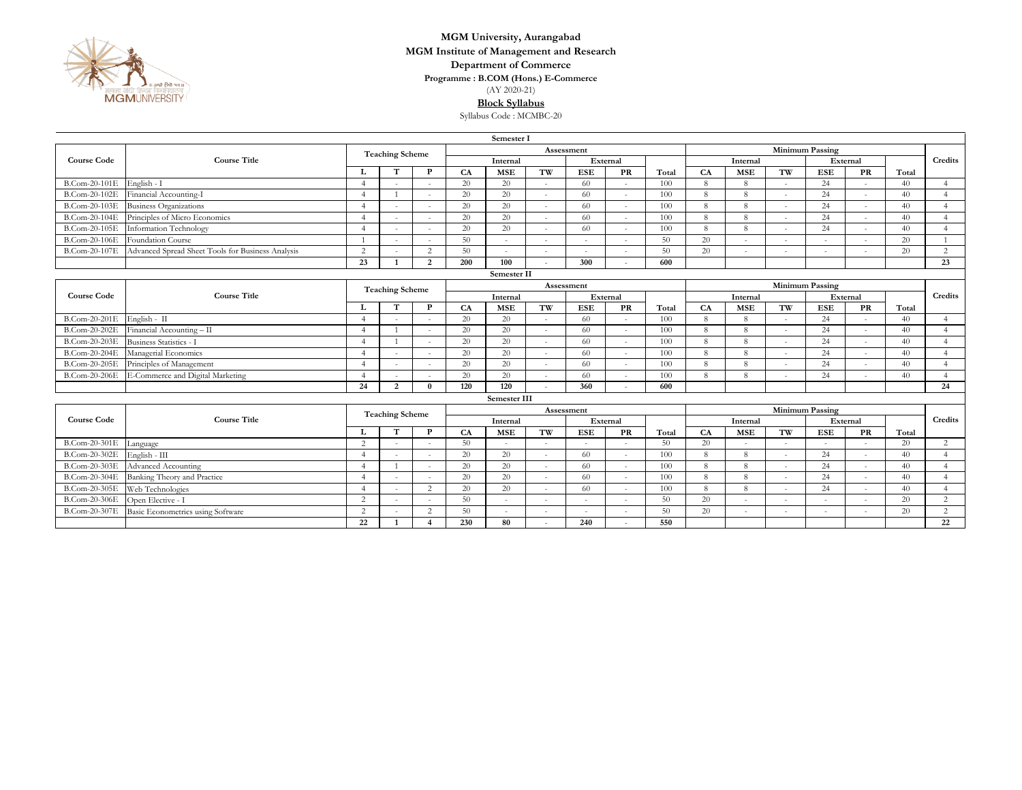

## **Department of Commerce MGM University, Aurangabad MGM Institute of Management and Research**

**Programme : B.COM (Hons.) E-Commerce**

(AY 2020-21)

**Block Syllabus**

Syllabus Code : MCMBC-20

|                     | Semester I                                        |                        |                |                |            |            |        |            |           |       |                        |                        |          |                          |                          |       |                        |  |
|---------------------|---------------------------------------------------|------------------------|----------------|----------------|------------|------------|--------|------------|-----------|-------|------------------------|------------------------|----------|--------------------------|--------------------------|-------|------------------------|--|
|                     | <b>Course Title</b>                               | <b>Teaching Scheme</b> |                |                | Assessment |            |        |            |           |       |                        | <b>Minimum Passing</b> |          |                          |                          |       |                        |  |
| <b>Course Code</b>  |                                                   |                        |                |                | Internal   |            |        | External   |           |       |                        | Internal               |          | External                 |                          |       | Credits                |  |
|                     |                                                   |                        |                | P              | CA         | <b>MSE</b> | TW     | <b>ESE</b> | <b>PR</b> | Total | CA                     | <b>MSE</b>             | TW       | <b>ESE</b>               | PR                       | Total |                        |  |
| B.Com-20-101E       | English - I                                       | $\overline{A}$         |                |                | 20         | 20         | $\sim$ | 60         |           | 100   | 8                      | 8                      | $\sim$   | 24                       |                          | 40    | $\overline{4}$         |  |
| B.Com-20-102E       | Financial Accounting-I                            | $\boldsymbol{\Lambda}$ |                |                | 20         | 20         | $\sim$ | 60         | $\sim$    | 100   | 8                      | 8                      | $\sim$   | 24                       | $\sim$                   | 40    | $\overline{4}$         |  |
| B.Com-20-103E       | <b>Business Organizations</b>                     | $\overline{4}$         | in 1919.       |                | 20         | 20         |        | -60        |           | 100   | 8                      | 8                      | in 1919. | 24                       | $\sim$                   | 40    | $\overline{4}$         |  |
| B.Com-20-104E       | Principles of Micro Economics                     | $\Delta$               |                |                | 20         | 20         |        | 60         |           | 100   | 8                      | 8                      |          | 24                       | $\overline{\phantom{a}}$ | 40    | $\boldsymbol{\Lambda}$ |  |
| B.Com-20-105E       | Information Technology                            | $\overline{4}$         | $\sim$         |                | 20         | 20         |        | 60         |           | 100   | 8                      | 8                      | $\sim$   | 24                       | $\overline{\phantom{a}}$ | 40    | $\overline{4}$         |  |
| B.Com-20-106E       | <b>Foundation Course</b>                          |                        | a.             |                | 50         | $\sim$     |        |            |           | 50    | 20                     | ÷                      | $\sim$   | ÷                        | $\sim$                   | 20    |                        |  |
| B.Com-20-107E       | Advanced Spread Sheet Tools for Business Analysis | 2                      |                | $\gamma$       | 50         | $\sim$     |        |            |           | 50    | 20                     |                        |          |                          |                          | 20    | $\overline{c}$         |  |
|                     |                                                   | 23                     | $\mathbf{1}$   | $\overline{2}$ | 200        | 100        |        | 300        |           | 600   |                        |                        |          |                          |                          |       | 23                     |  |
|                     | Semester II                                       |                        |                |                |            |            |        |            |           |       |                        |                        |          |                          |                          |       |                        |  |
| <b>Course Code</b>  | <b>Course Title</b>                               | <b>Teaching Scheme</b> |                |                | Assessment |            |        |            |           |       | <b>Minimum Passing</b> |                        |          |                          |                          |       |                        |  |
|                     |                                                   |                        |                |                | Internal   |            |        | External   |           |       | Internal               |                        |          |                          | External                 |       | Credits                |  |
|                     |                                                   |                        | T              | P              | CA         | <b>MSE</b> | TW     | <b>ESE</b> | PR        | Total | CA                     | <b>MSE</b>             | TW       | <b>ESE</b>               | PR                       | Total |                        |  |
| B.Com-20-201E       | English - II                                      | $\overline{A}$         |                |                | 20         | 20         | $\sim$ | 60         |           | 100   | 8                      | 8                      | $\sim$   | 24                       | ÷,                       | 40    | $\overline{4}$         |  |
| B.Com-20-202E       | Financial Accounting - II                         | $\Delta$               |                |                | 20         | 20         | $\sim$ | 60         |           | 100   | 8                      | 8                      | $\sim$   | 24                       | $\overline{\phantom{a}}$ | 40    | $\overline{A}$         |  |
| B.Com-20-203E       | Business Statistics - I                           | $\boldsymbol{\Lambda}$ |                |                | 20         | 20         |        | 60         |           | 100   | 8                      | 8                      |          | 24                       | $\sim$                   | 40    | $\overline{A}$         |  |
| B.Com-20-204E       | Managerial Economics                              | $\boldsymbol{\Lambda}$ | $\sim$         |                | 20         | 20         | $\sim$ | 60         | $\sim$    | 100   | 8                      | 8                      | $\sim$   | 24                       | $\overline{\phantom{a}}$ | 40    | $\overline{A}$         |  |
| B.Com-20-205E       | Principles of Management                          | $\Delta$               |                |                | 20         | 20         |        | 60         |           | 100   | 8                      | 8                      |          | 24                       |                          | 40    | $\overline{4}$         |  |
| B.Com-20-206E       | E-Commerce and Digital Marketing                  | $\overline{A}$         |                |                | 20         | 20         |        | 60         |           | 100   | 8                      | 8                      |          | 24                       |                          | 40    | $\Lambda$              |  |
|                     |                                                   | 24                     | $\overline{2}$ | $\mathbf{0}$   | 120        | 120        |        | 360        |           | 600   |                        |                        |          |                          |                          |       | 24                     |  |
| <b>Semester III</b> |                                                   |                        |                |                |            |            |        |            |           |       |                        |                        |          |                          |                          |       |                        |  |
|                     | <b>Course Title</b>                               | <b>Teaching Scheme</b> |                |                | Assessment |            |        |            |           |       |                        |                        |          |                          | Minimum Passing          |       |                        |  |
| <b>Course Code</b>  |                                                   |                        |                |                | Internal   |            |        | External   |           |       |                        | Internal               |          | External                 |                          |       | Credits                |  |
|                     |                                                   | L                      | T              | $\mathbf{P}$   | CA         | <b>MSE</b> | TW     | <b>ESE</b> | PR        | Total | CA                     | <b>MSE</b>             | TW       | <b>ESE</b>               | PR                       | Total |                        |  |
| B.Com-20-301E       | Language                                          | 2                      |                |                | 50         |            |        |            |           | 50    | 20                     |                        |          | $\sim$                   |                          | 20    | $\overline{2}$         |  |
| B.Com-20-302E       | English - III                                     | $\Delta$               |                |                | 20         | 20         |        | 60         |           | 100   | 8                      | 8                      |          | 24                       | $\sim$                   | 40    | $\Delta$               |  |
| B.Com-20-303E       | Advanced Accounting                               |                        |                |                | 20         | 20         | $\sim$ | 60         | $\sim$    | 100   | 8                      | 8                      | $\sim$   | 24                       | $\overline{\phantom{a}}$ | 40    | $\boldsymbol{\Lambda}$ |  |
| B.Com-20-304E       | Banking Theory and Practice                       | $\boldsymbol{\Lambda}$ |                |                | 20         | 20         | in a   | 60         |           | 100   | 8                      | 8                      | ÷        | 24                       | $\sim$                   | 40    | $\Delta$               |  |
| B.Com-20-305E       | Web Technologies                                  | $\Delta$               |                | $\overline{2}$ | 20         | 20         |        | 60         |           | 100   | 8                      | 8                      | in 1919. | 24                       | $\overline{\phantom{a}}$ | 40    | $\overline{4}$         |  |
| B.Com-20-306E       | Open Elective - I                                 | 2                      | $\sim$         |                | 50         | $\sim$     | $\sim$ |            |           | 50    | 20                     | $\sim$                 | $\sim$   | $\overline{\phantom{a}}$ | $\overline{\phantom{a}}$ | 20    | $\overline{2}$         |  |
| B.Com-20-307E       | Basic Econometrics using Software                 | 2                      |                | $\gamma$       | 50         |            | $\sim$ |            |           | 50    | 20                     | ٠                      | ÷.       | ×,                       | ٠                        | 20    | $\overline{2}$         |  |
|                     |                                                   | 22                     |                |                | 230        | 80         |        | 240        |           | 550   |                        |                        |          |                          |                          |       | 22                     |  |